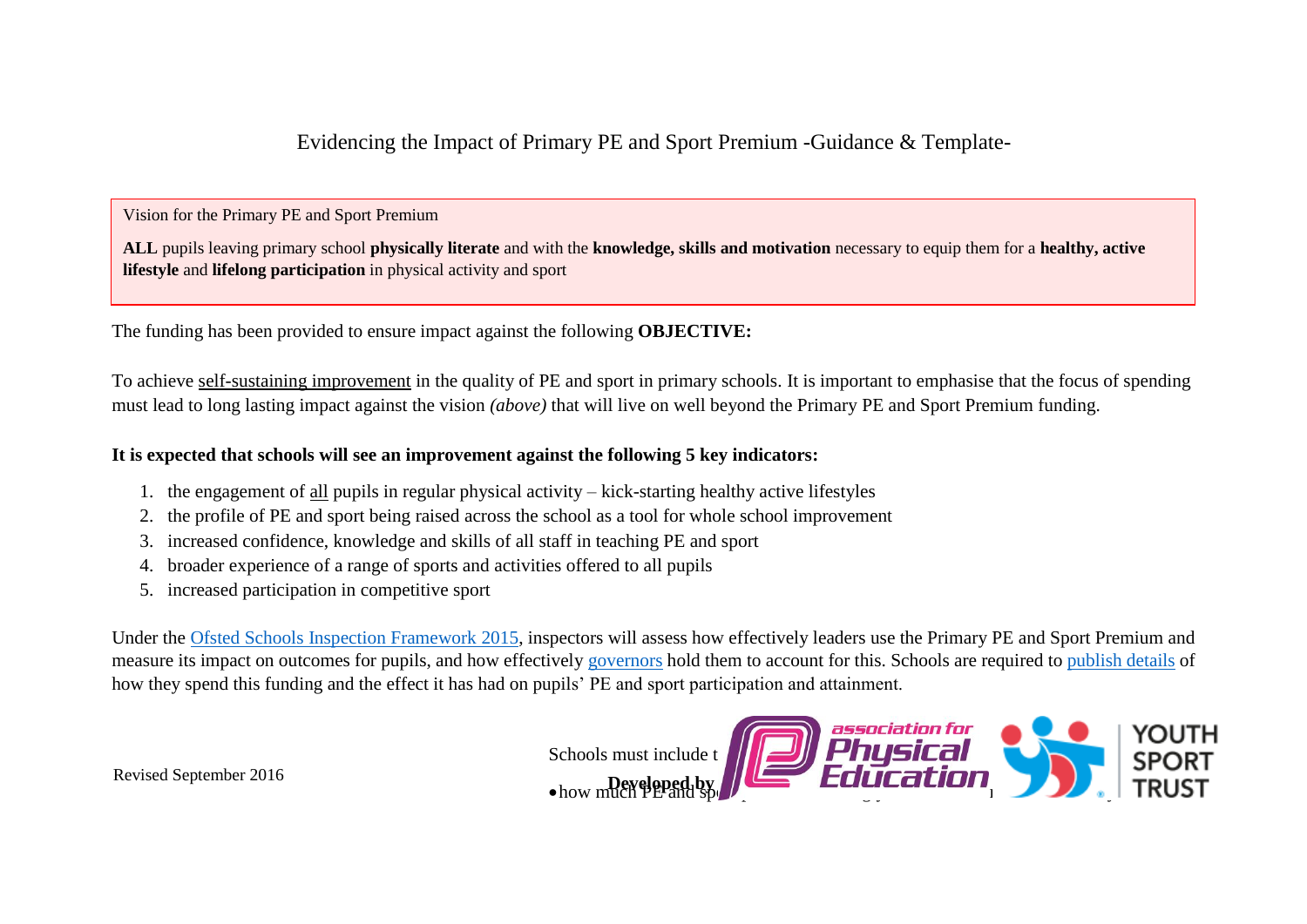Evidencing the Impact of Primary PE and Sport Premium -Guidance & Template-

Vision for the Primary PE and Sport Premium

**ALL** pupils leaving primary school **physically literate** and with the **knowledge, skills and motivation** necessary to equip them for a **healthy, active lifestyle** and **lifelong participation** in physical activity and sport

The funding has been provided to ensure impact against the following **OBJECTIVE:**

To achieve self-sustaining improvement in the quality of PE and sport in primary schools. It is important to emphasise that the focus of spending must lead to long lasting impact against the vision *(above)* that will live on well beyond the Primary PE and Sport Premium funding.

### **It is expected that schools will see an improvement against the following 5 key indicators:**

- 1. the engagement of all pupils in regular physical activity kick-starting healthy active lifestyles
- 2. the profile of PE and sport being raised across the school as a tool for whole school improvement
- 3. increased confidence, knowledge and skills of all staff in teaching PE and sport
- 4. broader experience of a range of sports and activities offered to all pupils
- 5. increased participation in competitive sport

Under the [Ofsted Schools Inspection Framework](https://www.gov.uk/government/publications/school-inspection-handbook-from-september-2015) 2015, inspectors will assess how effectively leaders use the Primary PE and Sport Premium and measure its impact on outcomes for pupils, and how effectively [governors](https://www.gov.uk/government/publications/governance-handbook) hold them to account for this. Schools are required to [publish details](https://www.gov.uk/guidance/what-maintained-schools-must-publish-online#pe-and-sport-premium-for-primary-schools) of how they spend this funding and the effect it has had on pupils' PE and sport participation and attainment.



Revised September 2016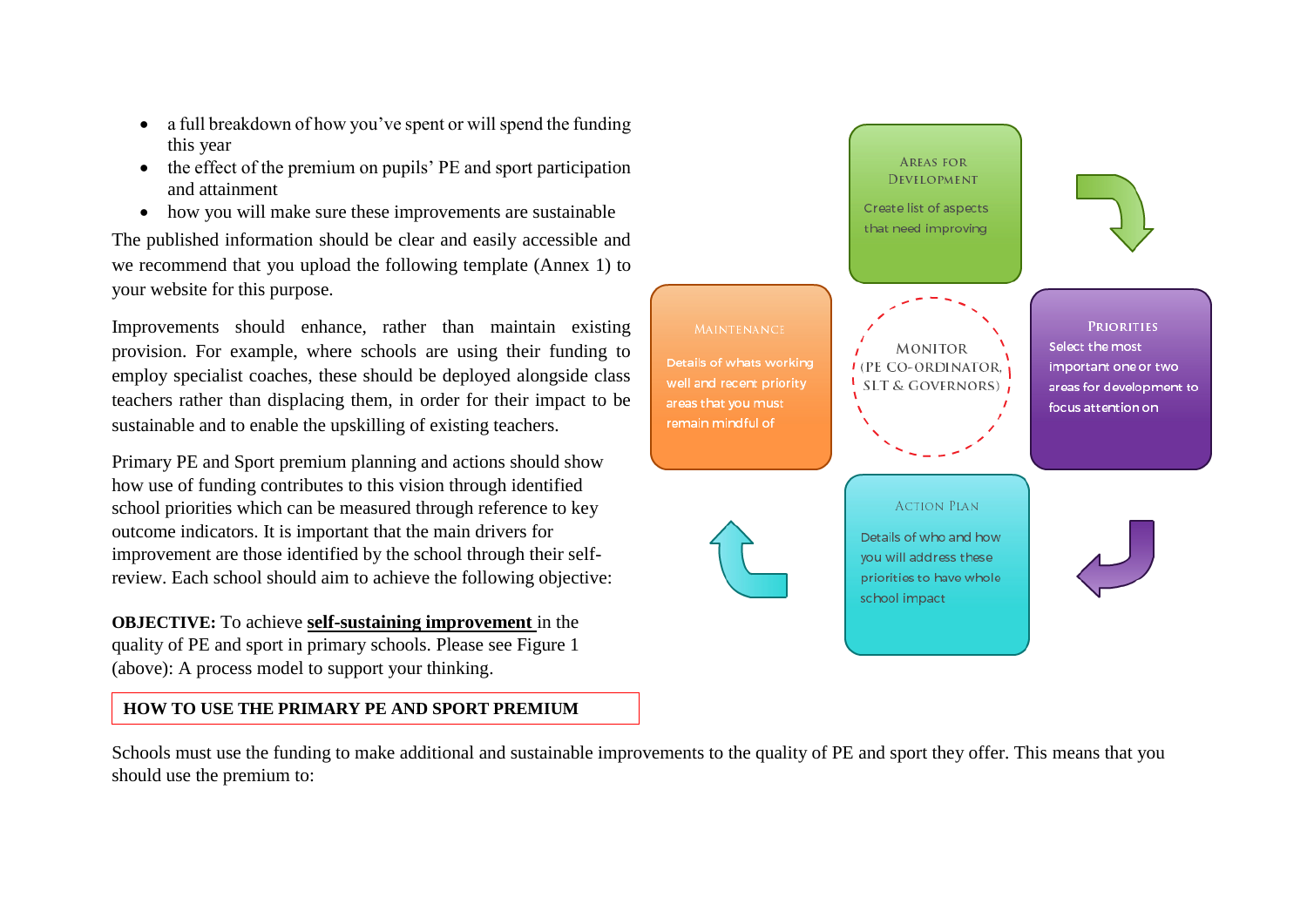- a full breakdown of how you've spent or will spend the funding this year
- the effect of the premium on pupils' PE and sport participation and attainment
- how you will make sure these improvements are sustainable

The published information should be clear and easily accessible and we recommend that you upload the following template (Annex 1) to your website for this purpose.

Improvements should enhance, rather than maintain existing provision. For example, where schools are using their funding to employ specialist coaches, these should be deployed alongside class teachers rather than displacing them, in order for their impact to be sustainable and to enable the upskilling of existing teachers.

Primary PE and Sport premium planning and actions should show how use of funding contributes to this vision through identified school priorities which can be measured through reference to key outcome indicators. It is important that the main drivers for improvement are those identified by the school through their selfreview. Each school should aim to achieve the following objective:

**OBJECTIVE:** To achieve **self-sustaining improvement** in the quality of PE and sport in primary schools. Please see Figure 1 (above): A process model to support your thinking.

# **HOW TO USE THE PRIMARY PE AND SPORT PREMIUM**



Schools must use the funding to make additional and sustainable improvements to the quality of PE and sport they offer. This means that you should use the premium to: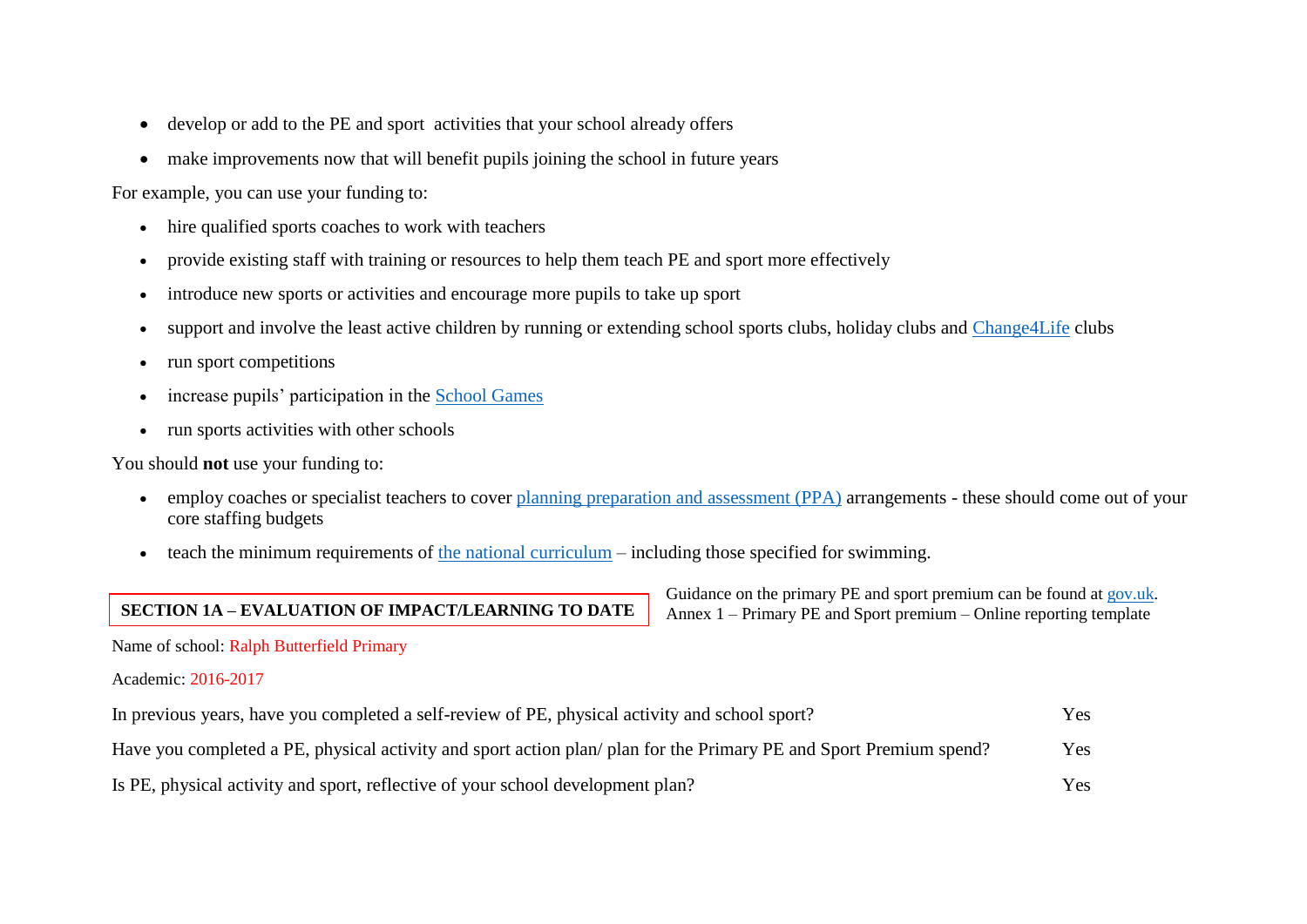- develop or add to the PE and sport activities that your school already offers
- make improvements now that will benefit pupils joining the school in future years

For example, you can use your funding to:

- hire qualified sports coaches to work with teachers
- provide existing staff with training or resources to help them teach PE and sport more effectively
- introduce new sports or activities and encourage more pupils to take up sport
- support and involve the least active children by running or extending school sports clubs, holiday clubs and [Change4Life](http://www.nhs.uk/change4life/Pages/change-for-life.aspx) clubs
- run sport competitions
- increase pupils' participation in the [School Games](https://www.gov.uk/government/policies/getting-more-people-playing-sport/supporting-pages/the-school-games)
- run sports activities with other schools

You should **not** use your funding to:

- employ coaches or specialist teachers to cover [planning preparation and assessment \(PPA\)](https://www.gov.uk/government/uploads/system/uploads/attachment_data/file/341951/School_teachers__pay_and_conditions_2014.pdf) arrangements these should come out of your core staffing budgets
- $\bullet$  teach the minimum requirements of [the national curriculum](https://www.gov.uk/government/publications/national-curriculum-in-england-physical-education-programmes-of-study) including those specified for swimming.

# **SECTION 1A – EVALUATION OF IMPACT/LEARNING TO DATE**

Guidance on the primary PE and sport premium can be found at [gov.uk.](https://www.gov.uk/guidance/pe-and-sport-premium-for-primary-schools) Annex 1 – Primary PE and Sport premium – Online reporting template

Name of school: Ralph Butterfield Primary

#### Academic: 2016-2017

| In previous years, have you completed a self-review of PE, physical activity and school sport?                    | Yes |
|-------------------------------------------------------------------------------------------------------------------|-----|
| Have you completed a PE, physical activity and sport action plan/plan for the Primary PE and Sport Premium spend? | Yes |
| Is PE, physical activity and sport, reflective of your school development plan?                                   | Yes |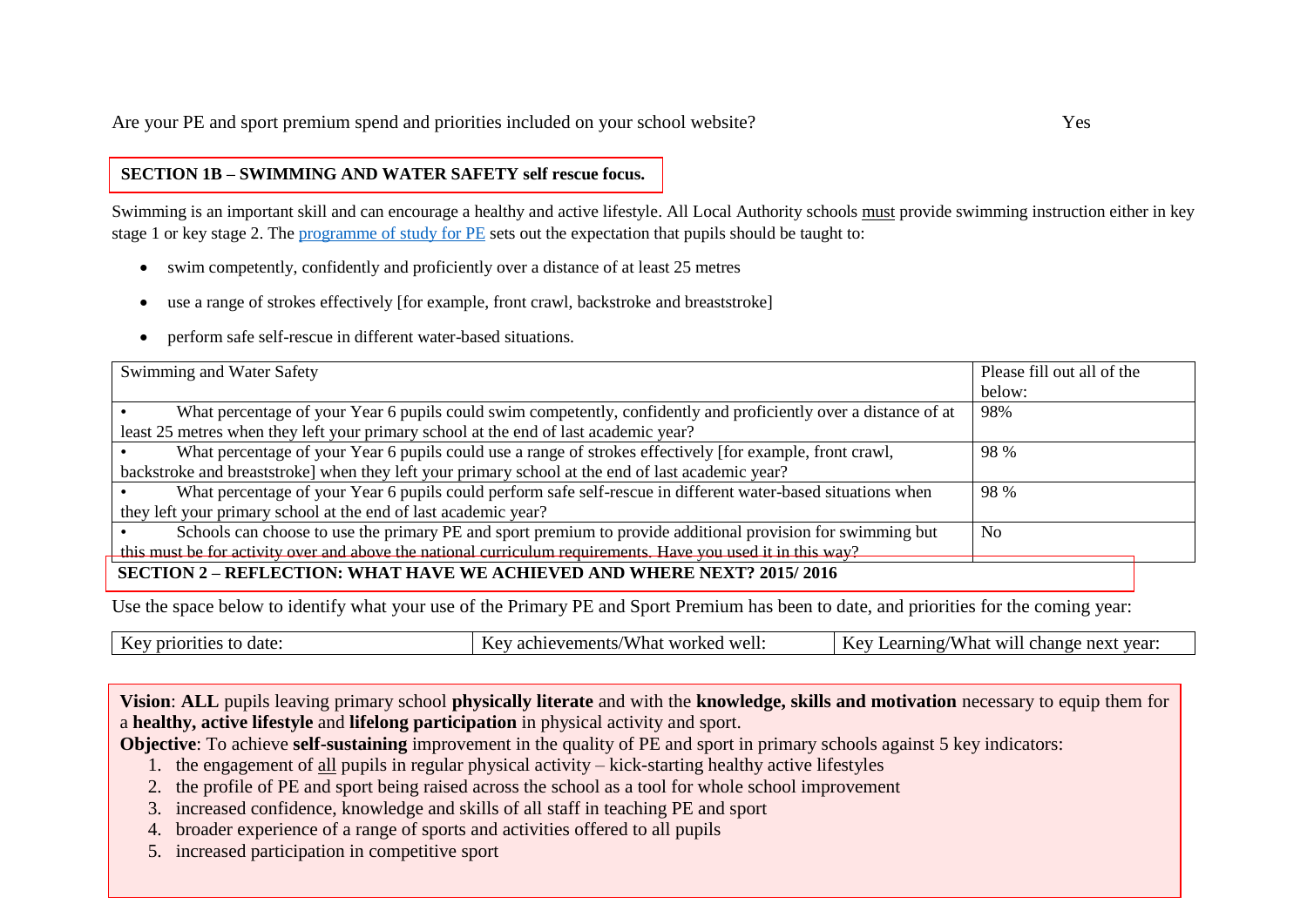## **SECTION 1B – SWIMMING AND WATER SAFETY self rescue focus.**

Swimming is an important skill and can encourage a healthy and active lifestyle. All Local Authority schools must provide swimming instruction either in key stage 1 or key stage 2. The [programme of study for PE](https://www.gov.uk/government/publications/national-curriculum-in-england-physical-education-programmes-of-study/national-curriculum-in-england-physical-education-programmes-of-study) sets out the expectation that pupils should be taught to:

- swim competently, confidently and proficiently over a distance of at least 25 metres
- use a range of strokes effectively [for example, front crawl, backstroke and breaststroke]
- perform safe self-rescue in different water-based situations.

| Swimming and Water Safety                                                                                        | Please fill out all of the |
|------------------------------------------------------------------------------------------------------------------|----------------------------|
|                                                                                                                  | below:                     |
| What percentage of your Year 6 pupils could swim competently, confidently and proficiently over a distance of at | 98%                        |
| least 25 metres when they left your primary school at the end of last academic year?                             |                            |
| What percentage of your Year 6 pupils could use a range of strokes effectively [for example, front crawl,        | 98 %                       |
| backstroke and breaststroke] when they left your primary school at the end of last academic year?                |                            |
| What percentage of your Year 6 pupils could perform safe self-rescue in different water-based situations when    | 98 %                       |
| they left your primary school at the end of last academic year?                                                  |                            |
| Schools can choose to use the primary PE and sport premium to provide additional provision for swimming but      | N <sub>0</sub>             |
| this must be for activity over and above the national curriculum requirements. Have you used it in this way?     |                            |
| <b>SECTION 2 – REFLECTION: WHAT HAVE WE ACHIEVED AND WHERE NEXT? 2015/2016</b>                                   |                            |

Use the space below to identify what your use of the Primary PE and Sport Premium has been to date, and priorities for the coming year:

| hai<br>change<br>ements?<br>next<br>$\sim$<br>$^{\prime}$ M.<br>$\sim$<br>- W11.<br>-<br>avar<br>$\Omega$<br>. )IT<br>$\mathbf{r}$<br>Vс<br>ua'<br>- аспіс<br>71 I<br>. | date | <b>TTT</b><br>well:<br>worked | year<br>.001 |
|-------------------------------------------------------------------------------------------------------------------------------------------------------------------------|------|-------------------------------|--------------|
|-------------------------------------------------------------------------------------------------------------------------------------------------------------------------|------|-------------------------------|--------------|

**Vision**: **ALL** pupils leaving primary school **physically literate** and with the **knowledge, skills and motivation** necessary to equip them for a **healthy, active lifestyle** and **lifelong participation** in physical activity and sport.

**Objective**: To achieve **self-sustaining** improvement in the quality of PE and sport in primary schools against 5 key indicators:

- 1. the engagement of all pupils in regular physical activity kick-starting healthy active lifestyles
- 2. the profile of PE and sport being raised across the school as a tool for whole school improvement
- 3. increased confidence, knowledge and skills of all staff in teaching PE and sport
- 4. broader experience of a range of sports and activities offered to all pupils
- 5. increased participation in competitive sport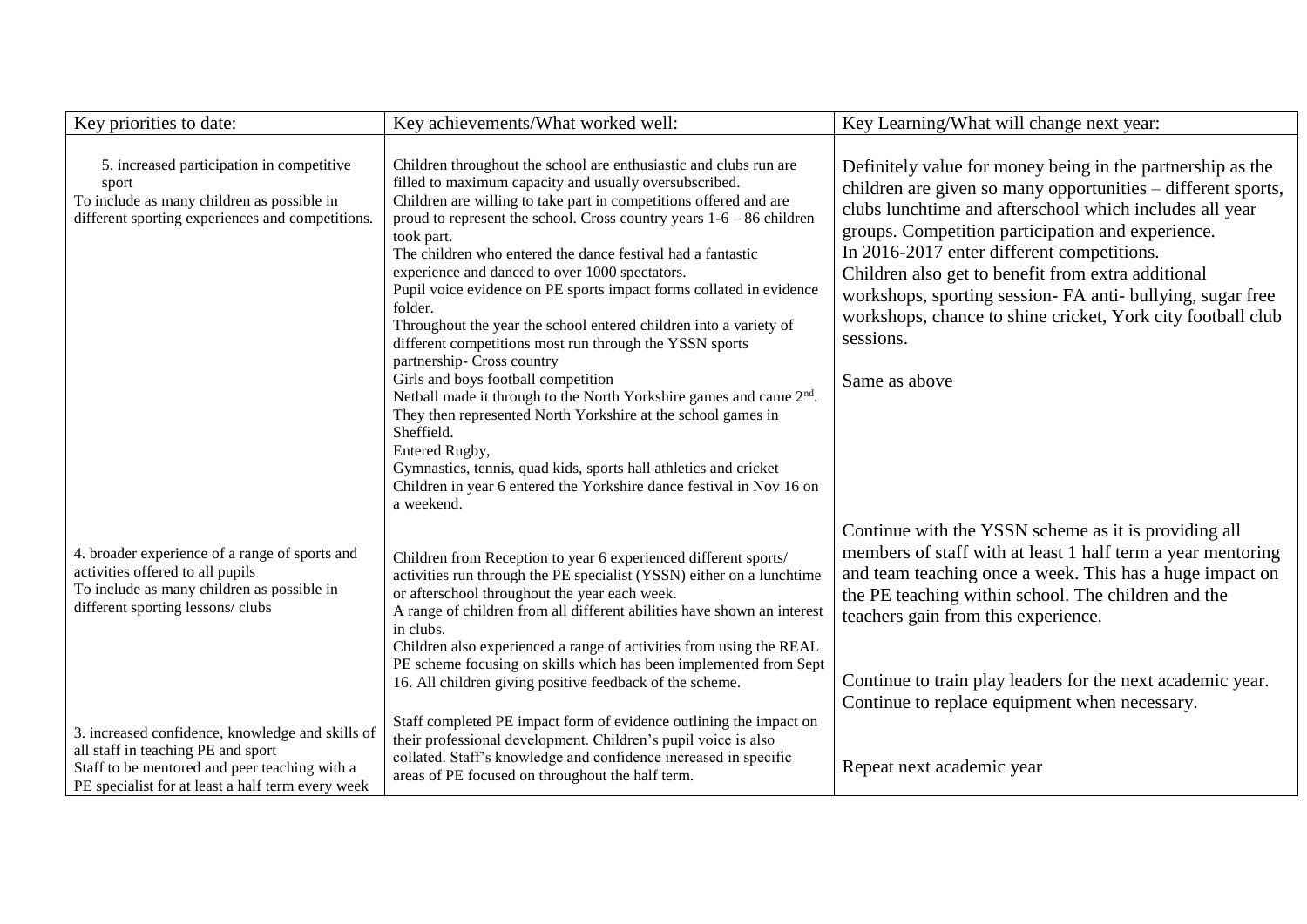| Key priorities to date:                                                                                                                                                                      | Key achievements/What worked well:                                                                                                                                                                                                                                                                                                                                                                                                                                                                                                                                                                                                                                                                                                                                                                                                                                                                                                                                                                                                          | Key Learning/What will change next year:                                                                                                                                                                                                                                                                                                                                                                                                                                                                  |
|----------------------------------------------------------------------------------------------------------------------------------------------------------------------------------------------|---------------------------------------------------------------------------------------------------------------------------------------------------------------------------------------------------------------------------------------------------------------------------------------------------------------------------------------------------------------------------------------------------------------------------------------------------------------------------------------------------------------------------------------------------------------------------------------------------------------------------------------------------------------------------------------------------------------------------------------------------------------------------------------------------------------------------------------------------------------------------------------------------------------------------------------------------------------------------------------------------------------------------------------------|-----------------------------------------------------------------------------------------------------------------------------------------------------------------------------------------------------------------------------------------------------------------------------------------------------------------------------------------------------------------------------------------------------------------------------------------------------------------------------------------------------------|
| 5. increased participation in competitive<br>sport<br>To include as many children as possible in<br>different sporting experiences and competitions.                                         | Children throughout the school are enthusiastic and clubs run are<br>filled to maximum capacity and usually oversubscribed.<br>Children are willing to take part in competitions offered and are<br>proud to represent the school. Cross country years $1-6-86$ children<br>took part.<br>The children who entered the dance festival had a fantastic<br>experience and danced to over 1000 spectators.<br>Pupil voice evidence on PE sports impact forms collated in evidence<br>folder.<br>Throughout the year the school entered children into a variety of<br>different competitions most run through the YSSN sports<br>partnership- Cross country<br>Girls and boys football competition<br>Netball made it through to the North Yorkshire games and came 2 <sup>nd</sup> .<br>They then represented North Yorkshire at the school games in<br>Sheffield.<br>Entered Rugby,<br>Gymnastics, tennis, quad kids, sports hall athletics and cricket<br>Children in year 6 entered the Yorkshire dance festival in Nov 16 on<br>a weekend. | Definitely value for money being in the partnership as the<br>children are given so many opportunities - different sports,<br>clubs lunchtime and afterschool which includes all year<br>groups. Competition participation and experience.<br>In 2016-2017 enter different competitions.<br>Children also get to benefit from extra additional<br>workshops, sporting session- FA anti- bullying, sugar free<br>workshops, chance to shine cricket, York city football club<br>sessions.<br>Same as above |
| 4. broader experience of a range of sports and<br>activities offered to all pupils<br>To include as many children as possible in<br>different sporting lessons/clubs                         | Children from Reception to year 6 experienced different sports/<br>activities run through the PE specialist (YSSN) either on a lunchtime<br>or afterschool throughout the year each week.<br>A range of children from all different abilities have shown an interest<br>in clubs.<br>Children also experienced a range of activities from using the REAL<br>PE scheme focusing on skills which has been implemented from Sept<br>16. All children giving positive feedback of the scheme.                                                                                                                                                                                                                                                                                                                                                                                                                                                                                                                                                   | Continue with the YSSN scheme as it is providing all<br>members of staff with at least 1 half term a year mentoring<br>and team teaching once a week. This has a huge impact on<br>the PE teaching within school. The children and the<br>teachers gain from this experience.<br>Continue to train play leaders for the next academic year.<br>Continue to replace equipment when necessary.                                                                                                              |
| 3. increased confidence, knowledge and skills of<br>all staff in teaching PE and sport<br>Staff to be mentored and peer teaching with a<br>PE specialist for at least a half term every week | Staff completed PE impact form of evidence outlining the impact on<br>their professional development. Children's pupil voice is also<br>collated. Staff's knowledge and confidence increased in specific<br>areas of PE focused on throughout the half term.                                                                                                                                                                                                                                                                                                                                                                                                                                                                                                                                                                                                                                                                                                                                                                                | Repeat next academic year                                                                                                                                                                                                                                                                                                                                                                                                                                                                                 |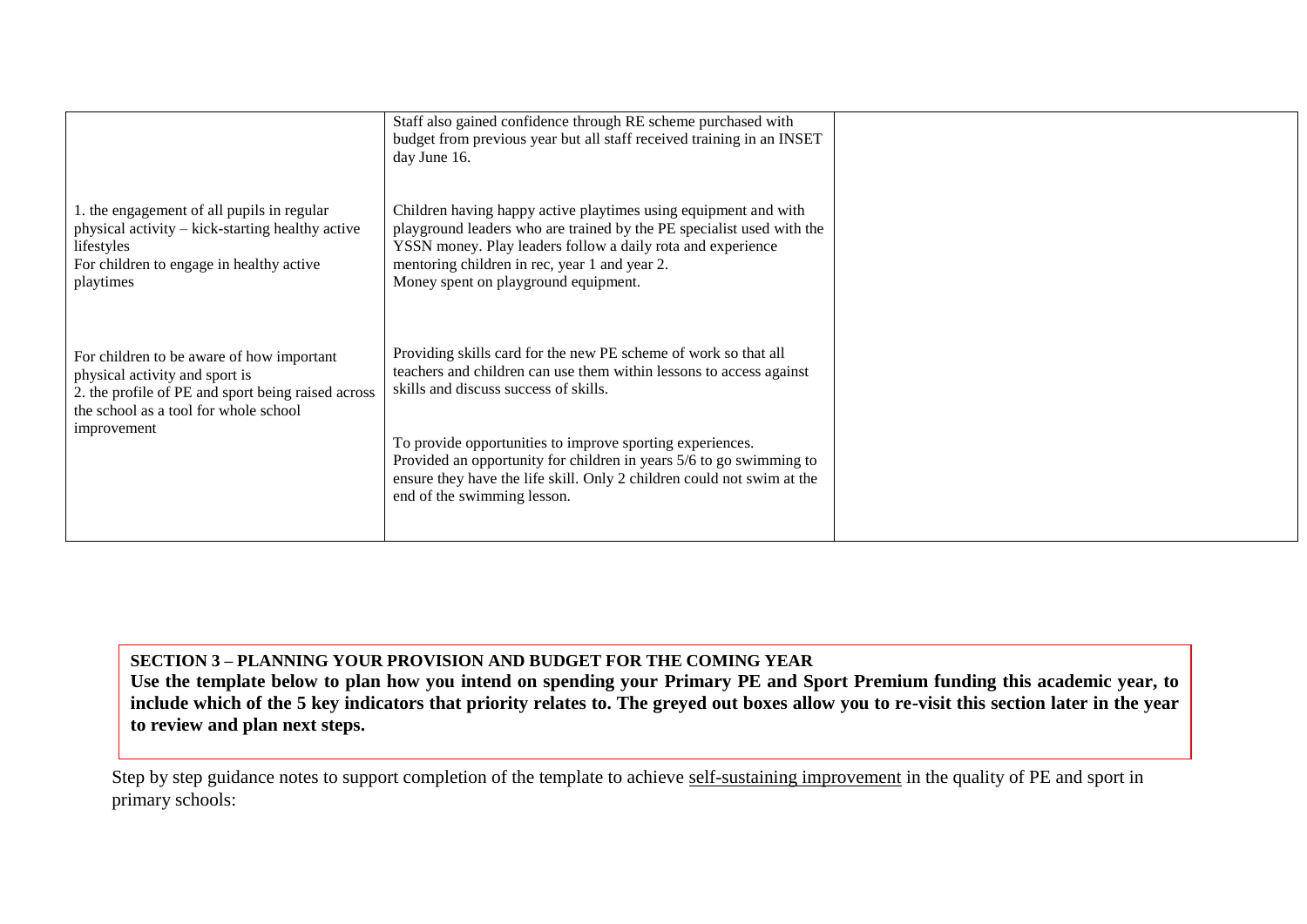|                                                                                                                                                                                           | Staff also gained confidence through RE scheme purchased with<br>budget from previous year but all staff received training in an INSET<br>day June 16.                                                                                                                                                                                                                                                                       |  |
|-------------------------------------------------------------------------------------------------------------------------------------------------------------------------------------------|------------------------------------------------------------------------------------------------------------------------------------------------------------------------------------------------------------------------------------------------------------------------------------------------------------------------------------------------------------------------------------------------------------------------------|--|
| 1. the engagement of all pupils in regular<br>physical activity – kick-starting healthy active<br>lifestyles<br>For children to engage in healthy active<br>playtimes                     | Children having happy active playtimes using equipment and with<br>playground leaders who are trained by the PE specialist used with the<br>YSSN money. Play leaders follow a daily rota and experience<br>mentoring children in rec, year 1 and year 2.<br>Money spent on playground equipment.                                                                                                                             |  |
| For children to be aware of how important<br>physical activity and sport is<br>2. the profile of PE and sport being raised across<br>the school as a tool for whole school<br>improvement | Providing skills card for the new PE scheme of work so that all<br>teachers and children can use them within lessons to access against<br>skills and discuss success of skills.<br>To provide opportunities to improve sporting experiences.<br>Provided an opportunity for children in years 5/6 to go swimming to<br>ensure they have the life skill. Only 2 children could not swim at the<br>end of the swimming lesson. |  |

**SECTION 3 – PLANNING YOUR PROVISION AND BUDGET FOR THE COMING YEAR Use the template below to plan how you intend on spending your Primary PE and Sport Premium funding this academic year, to include which of the 5 key indicators that priority relates to. The greyed out boxes allow you to re-visit this section later in the year to review and plan next steps.**

Step by step guidance notes to support completion of the template to achieve self-sustaining improvement in the quality of PE and sport in primary schools: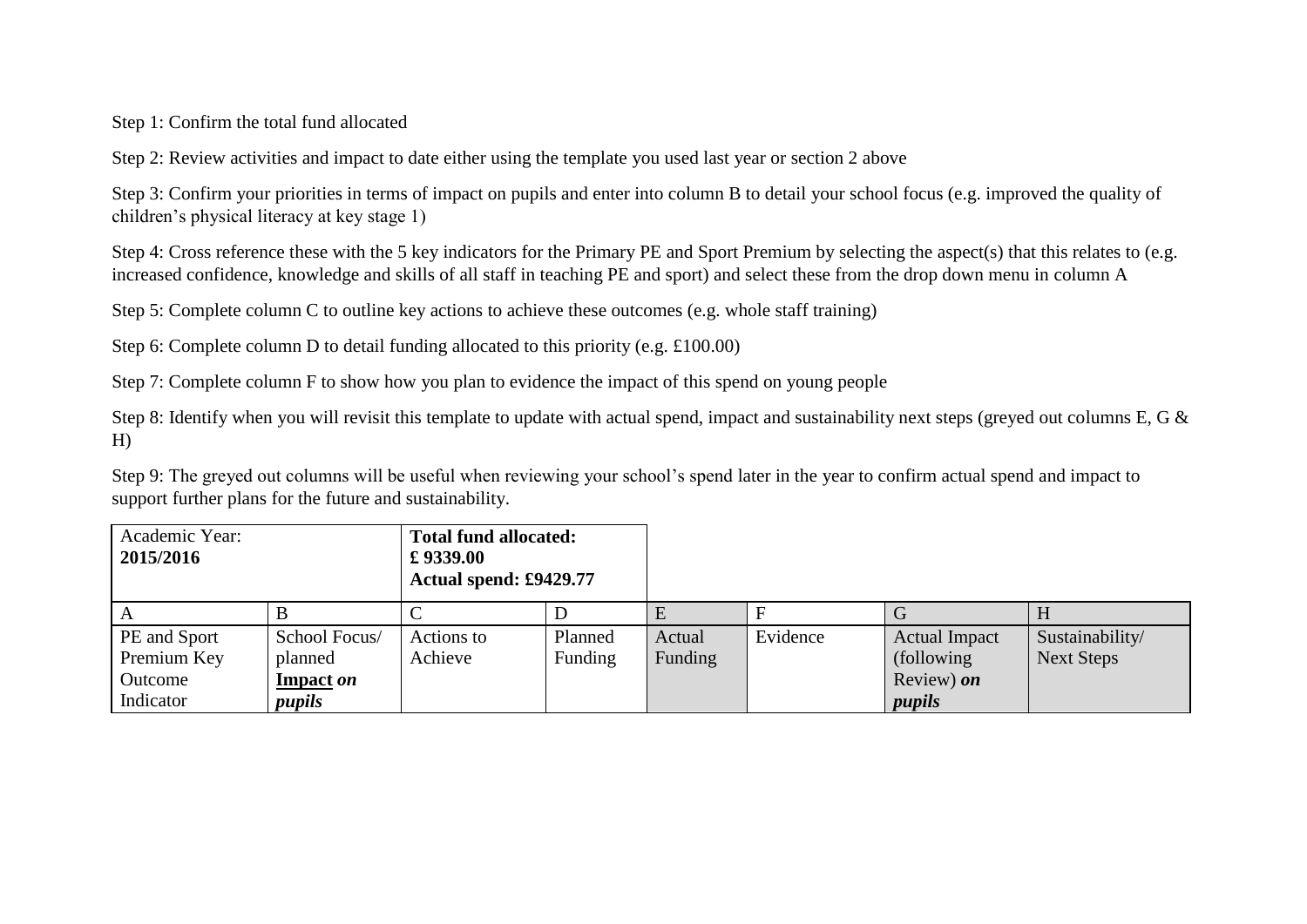Step 1: Confirm the total fund allocated

Step 2: Review activities and impact to date either using the template you used last year or section 2 above

Step 3: Confirm your priorities in terms of impact on pupils and enter into column B to detail your school focus (e.g. improved the quality of children's physical literacy at key stage 1)

Step 4: Cross reference these with the 5 key indicators for the Primary PE and Sport Premium by selecting the aspect(s) that this relates to (e.g. increased confidence, knowledge and skills of all staff in teaching PE and sport) and select these from the drop down menu in column A

Step 5: Complete column C to outline key actions to achieve these outcomes (e.g. whole staff training)

Step 6: Complete column D to detail funding allocated to this priority (e.g. £100.00)

Step 7: Complete column F to show how you plan to evidence the impact of this spend on young people

Step 8: Identify when you will revisit this template to update with actual spend, impact and sustainability next steps (greyed out columns E, G & H)

Step 9: The greyed out columns will be useful when reviewing your school's spend later in the year to confirm actual spend and impact to support further plans for the future and sustainability.

| Academic Year:<br>2015/2016 |               | <b>Total fund allocated:</b><br>£9339.00<br>Actual spend: £9429.77 |         |         |          |                      |                   |
|-----------------------------|---------------|--------------------------------------------------------------------|---------|---------|----------|----------------------|-------------------|
| A                           |               |                                                                    |         |         |          |                      |                   |
| PE and Sport                | School Focus/ | Actions to                                                         | Planned | Actual  | Evidence | <b>Actual Impact</b> | Sustainability/   |
| Premium Key                 | planned       | Achieve                                                            | Funding | Funding |          | (following)          | <b>Next Steps</b> |
| Outcome                     | Impact on     |                                                                    |         |         |          | Review) on           |                   |
| Indicator                   | pupils        |                                                                    |         |         |          | pupils               |                   |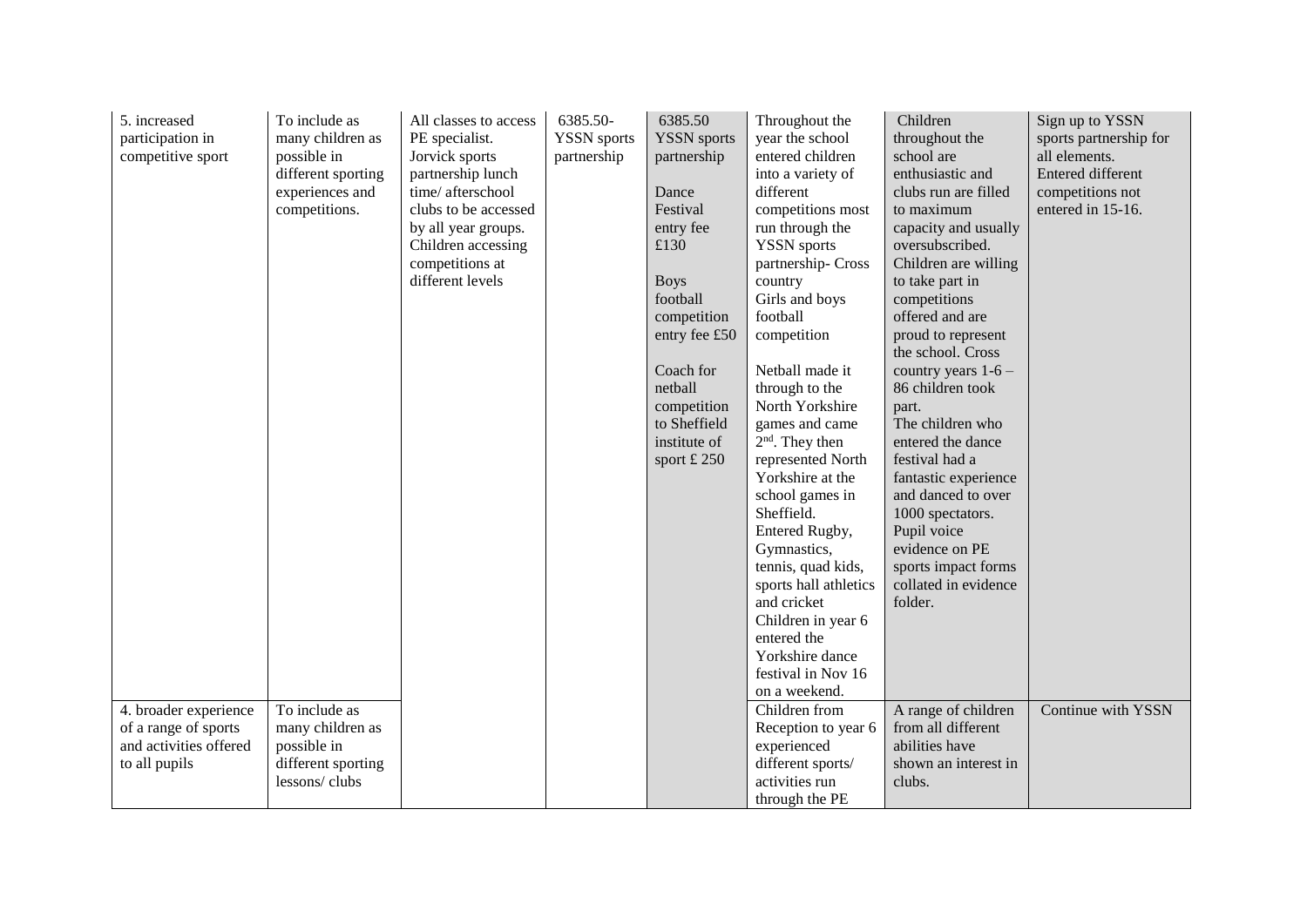| 5. increased<br>participation in<br>competitive sport                                    | To include as<br>many children as<br>possible in<br>different sporting<br>experiences and<br>competitions.<br>To include as | All classes to access<br>PE specialist.<br>Jorvick sports<br>partnership lunch<br>time/afterschool<br>clubs to be accessed<br>by all year groups.<br>Children accessing<br>competitions at<br>different levels | 6385.50-<br><b>YSSN</b> sports<br>partnership | 6385.50<br><b>YSSN</b> sports<br>partnership<br>Dance<br>Festival<br>entry fee<br>£130<br><b>Boys</b><br>football<br>competition<br>entry fee £50<br>Coach for<br>netball<br>competition<br>to Sheffield<br>institute of<br>sport $£$ 250 | Throughout the<br>year the school<br>entered children<br>into a variety of<br>different<br>competitions most<br>run through the<br><b>YSSN</b> sports<br>partnership-Cross<br>country<br>Girls and boys<br>football<br>competition<br>Netball made it<br>through to the<br>North Yorkshire<br>games and came<br>$2nd$ . They then<br>represented North<br>Yorkshire at the<br>school games in<br>Sheffield.<br>Entered Rugby,<br>Gymnastics,<br>tennis, quad kids,<br>sports hall athletics<br>and cricket<br>Children in year 6<br>entered the<br>Yorkshire dance<br>festival in Nov 16<br>on a weekend.<br>Children from | Children<br>throughout the<br>school are<br>enthusiastic and<br>clubs run are filled<br>to maximum<br>capacity and usually<br>oversubscribed.<br>Children are willing<br>to take part in<br>competitions<br>offered and are<br>proud to represent<br>the school. Cross<br>country years $1-6$ –<br>86 children took<br>part.<br>The children who<br>entered the dance<br>festival had a<br>fantastic experience<br>and danced to over<br>1000 spectators.<br>Pupil voice<br>evidence on PE<br>sports impact forms<br>collated in evidence<br>folder. | Sign up to YSSN<br>sports partnership for<br>all elements.<br><b>Entered different</b><br>competitions not<br>entered in 15-16.<br>Continue with YSSN |
|------------------------------------------------------------------------------------------|-----------------------------------------------------------------------------------------------------------------------------|----------------------------------------------------------------------------------------------------------------------------------------------------------------------------------------------------------------|-----------------------------------------------|-------------------------------------------------------------------------------------------------------------------------------------------------------------------------------------------------------------------------------------------|----------------------------------------------------------------------------------------------------------------------------------------------------------------------------------------------------------------------------------------------------------------------------------------------------------------------------------------------------------------------------------------------------------------------------------------------------------------------------------------------------------------------------------------------------------------------------------------------------------------------------|------------------------------------------------------------------------------------------------------------------------------------------------------------------------------------------------------------------------------------------------------------------------------------------------------------------------------------------------------------------------------------------------------------------------------------------------------------------------------------------------------------------------------------------------------|-------------------------------------------------------------------------------------------------------------------------------------------------------|
| 4. broader experience<br>of a range of sports<br>and activities offered<br>to all pupils | many children as<br>possible in<br>different sporting<br>lessons/clubs                                                      |                                                                                                                                                                                                                |                                               |                                                                                                                                                                                                                                           | Reception to year 6<br>experienced<br>different sports/<br>activities run                                                                                                                                                                                                                                                                                                                                                                                                                                                                                                                                                  | A range of children<br>from all different<br>abilities have<br>shown an interest in<br>clubs.                                                                                                                                                                                                                                                                                                                                                                                                                                                        |                                                                                                                                                       |
|                                                                                          |                                                                                                                             |                                                                                                                                                                                                                |                                               |                                                                                                                                                                                                                                           | through the PE                                                                                                                                                                                                                                                                                                                                                                                                                                                                                                                                                                                                             |                                                                                                                                                                                                                                                                                                                                                                                                                                                                                                                                                      |                                                                                                                                                       |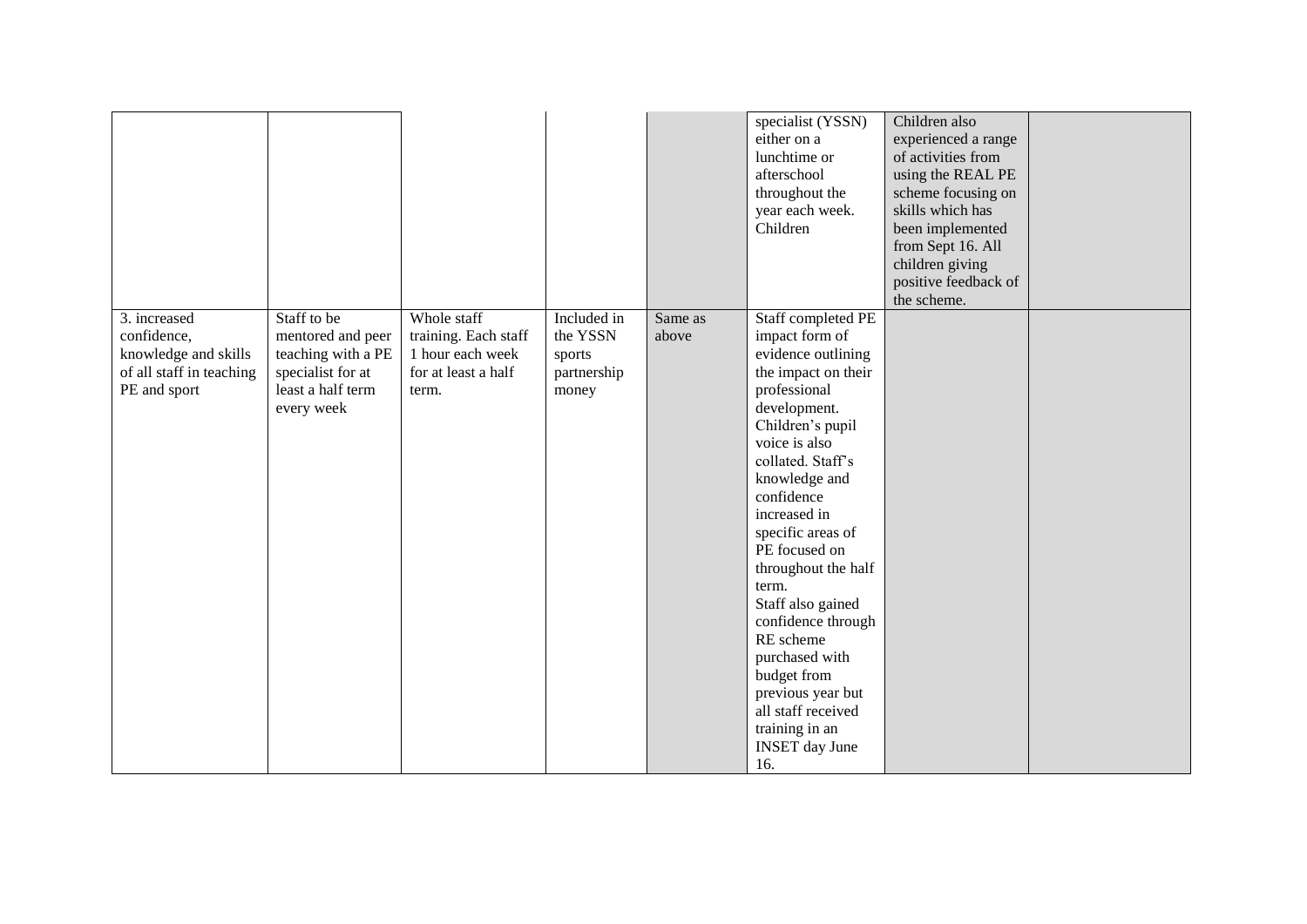|                                                                                                 |                                                                                                                |                                                                                         |                                                           |                  | specialist (YSSN)<br>either on a<br>lunchtime or<br>afterschool<br>throughout the<br>year each week.<br>Children                                                                                                                                                                                                                                                                                                                                                                       | Children also<br>experienced a range<br>of activities from<br>using the REAL PE<br>scheme focusing on<br>skills which has<br>been implemented<br>from Sept 16. All<br>children giving<br>positive feedback of<br>the scheme. |  |
|-------------------------------------------------------------------------------------------------|----------------------------------------------------------------------------------------------------------------|-----------------------------------------------------------------------------------------|-----------------------------------------------------------|------------------|----------------------------------------------------------------------------------------------------------------------------------------------------------------------------------------------------------------------------------------------------------------------------------------------------------------------------------------------------------------------------------------------------------------------------------------------------------------------------------------|------------------------------------------------------------------------------------------------------------------------------------------------------------------------------------------------------------------------------|--|
| 3. increased<br>confidence,<br>knowledge and skills<br>of all staff in teaching<br>PE and sport | Staff to be<br>mentored and peer<br>teaching with a PE<br>specialist for at<br>least a half term<br>every week | Whole staff<br>training. Each staff<br>1 hour each week<br>for at least a half<br>term. | Included in<br>the YSSN<br>sports<br>partnership<br>money | Same as<br>above | Staff completed PE<br>impact form of<br>evidence outlining<br>the impact on their<br>professional<br>development.<br>Children's pupil<br>voice is also<br>collated. Staff's<br>knowledge and<br>confidence<br>increased in<br>specific areas of<br>PE focused on<br>throughout the half<br>term.<br>Staff also gained<br>confidence through<br>RE scheme<br>purchased with<br>budget from<br>previous year but<br>all staff received<br>training in an<br><b>INSET</b> day June<br>16. |                                                                                                                                                                                                                              |  |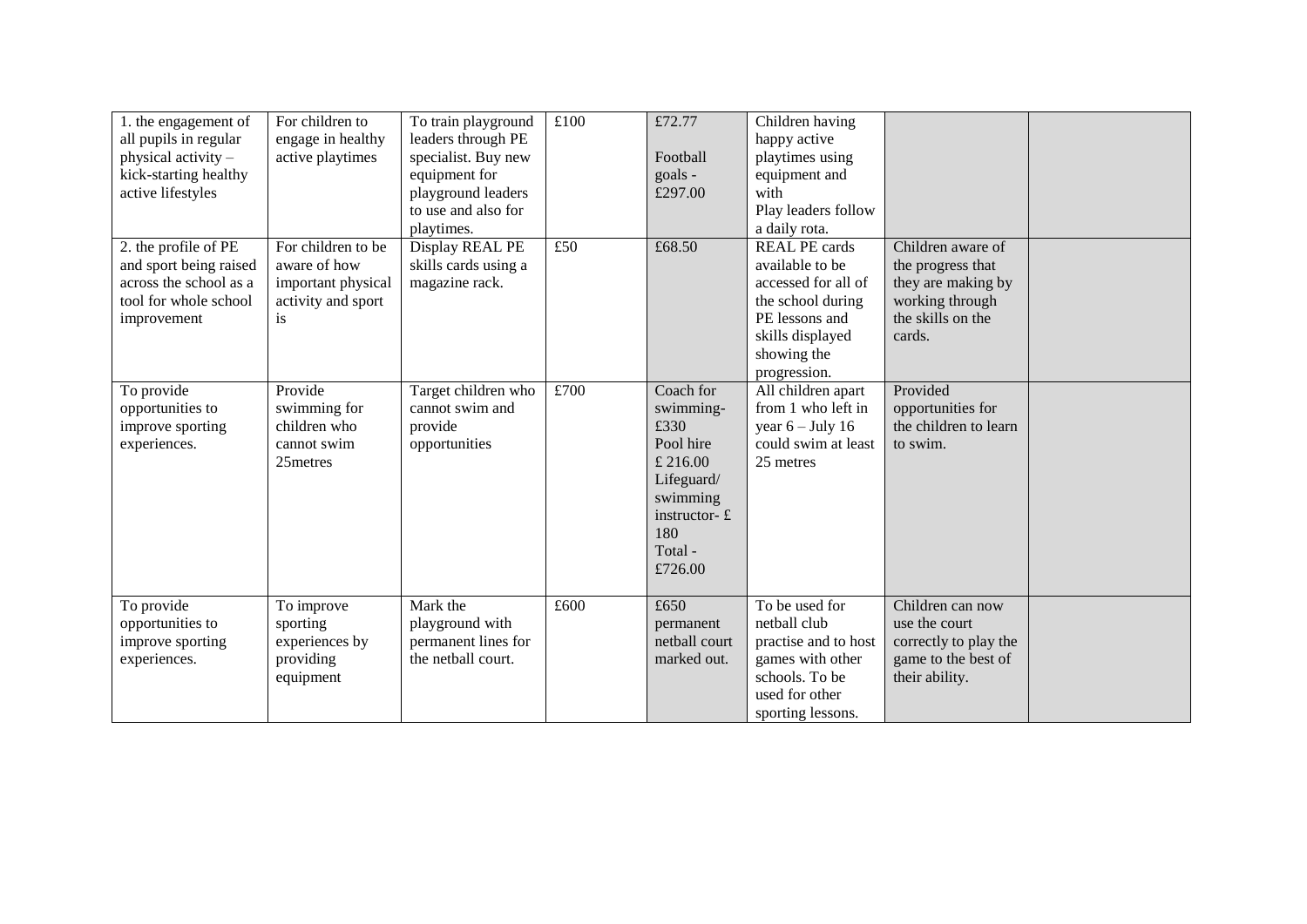| 1. the engagement of<br>all pupils in regular<br>physical activity -<br>kick-starting healthy<br>active lifestyles            | For children to<br>engage in healthy<br>active playtimes                                    | To train playground<br>leaders through PE<br>specialist. Buy new<br>equipment for<br>playground leaders<br>to use and also for<br>playtimes. | £100 | £72.77<br>Football<br>goals -<br>£297.00                                                                                          | Children having<br>happy active<br>playtimes using<br>equipment and<br>with<br>Play leaders follow<br>a daily rota.                                      |                                                                                                                |  |
|-------------------------------------------------------------------------------------------------------------------------------|---------------------------------------------------------------------------------------------|----------------------------------------------------------------------------------------------------------------------------------------------|------|-----------------------------------------------------------------------------------------------------------------------------------|----------------------------------------------------------------------------------------------------------------------------------------------------------|----------------------------------------------------------------------------------------------------------------|--|
| 2. the profile of $\overline{PE}$<br>and sport being raised<br>across the school as a<br>tool for whole school<br>improvement | For children to be<br>aware of how<br>important physical<br>activity and sport<br><i>is</i> | Display REAL PE<br>skills cards using a<br>magazine rack.                                                                                    | £50  | £68.50                                                                                                                            | <b>REAL PE cards</b><br>available to be<br>accessed for all of<br>the school during<br>PE lessons and<br>skills displayed<br>showing the<br>progression. | Children aware of<br>the progress that<br>they are making by<br>working through<br>the skills on the<br>cards. |  |
| To provide<br>opportunities to<br>improve sporting<br>experiences.                                                            | Provide<br>swimming for<br>children who<br>cannot swim<br>25metres                          | Target children who<br>cannot swim and<br>provide<br>opportunities                                                                           | £700 | Coach for<br>swimming-<br>£330<br>Pool hire<br>£ 216.00<br>Lifeguard/<br>swimming<br>instructor- $E$<br>180<br>Total -<br>£726.00 | All children apart<br>from 1 who left in<br>year $6 -$ July 16<br>could swim at least<br>25 metres                                                       | Provided<br>opportunities for<br>the children to learn<br>to swim.                                             |  |
| To provide<br>opportunities to<br>improve sporting<br>experiences.                                                            | To improve<br>sporting<br>experiences by<br>providing<br>equipment                          | Mark the<br>playground with<br>permanent lines for<br>the netball court.                                                                     | £600 | £650<br>permanent<br>netball court<br>marked out.                                                                                 | To be used for<br>netball club<br>practise and to host<br>games with other<br>schools. To be<br>used for other<br>sporting lessons.                      | Children can now<br>use the court<br>correctly to play the<br>game to the best of<br>their ability.            |  |